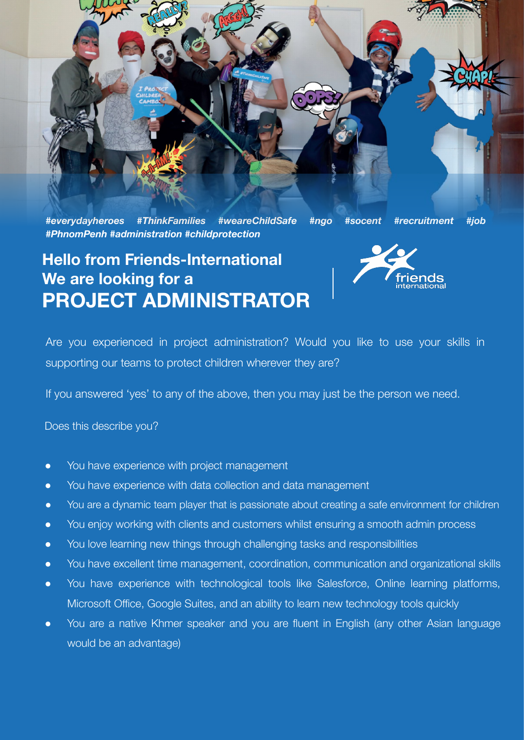

## **Hello from Friends-International We are looking for a PROJECT ADMINISTRATOR**



Are you experienced in project administration? Would you like to use your skills in supporting our teams to protect children wherever they are?

If you answered 'yes' to any of the above, then you may just be the person we need.

Does this describe you?

- You have experience with project management
- You have experience with data collection and data management
- You are a dynamic team player that is passionate about creating a safe environment for children
- You enjoy working with clients and customers whilst ensuring a smooth admin process
- You love learning new things through challenging tasks and responsibilities
- You have excellent time management, coordination, communication and organizational skills
- You have experience with technological tools like Salesforce, Online learning platforms, Microsoft Office, Google Suites, and an ability to learn new technology tools quickly
- You are a native Khmer speaker and you are fluent in English (any other Asian language would be an advantage)